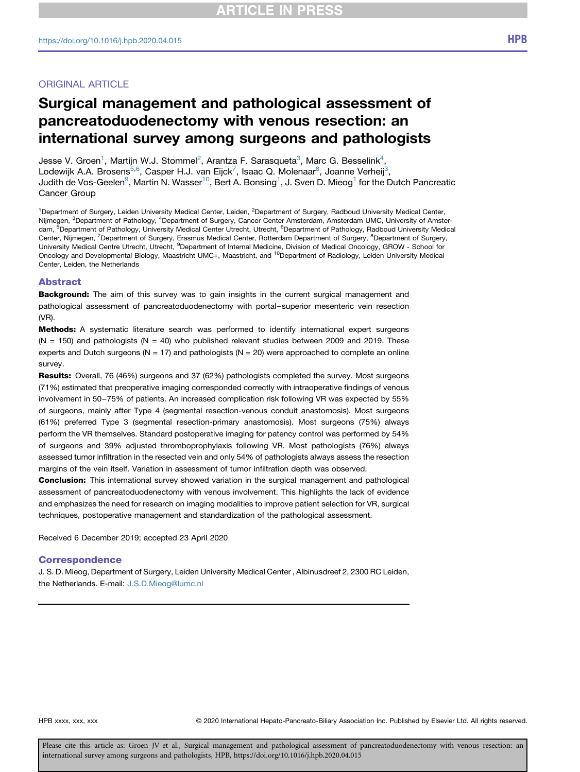# Surgical management and pathological assessment of pancreatoduodenectomy with venous resection: an international survey among surgeons and pathologists

Jesse V. Groen<sup>1</sup>, Martijn W.J. Stommel<sup>[2](#page-0-0)</sup>, Arantza F. Sarasqueta<sup>[3](#page-0-1)</sup>, Marc G. Besselink<sup>[4](#page-0-1)</sup>, Lodewijk A.A. Brosens<sup>[5,6](#page-0-2)</sup>, Casper H.J. van Eijck<sup>[7](#page-0-3)</sup>, Isaac Q. Molenaar<sup>[8](#page-0-3)</sup>, Joanne Verheij<sup>3</sup>, Judith de Vos-Geelen $^9$ , Martin N. Wasser $^{10}$  $^{10}$  $^{10}$ , Bert A. Bonsing $^1$  $^1$ , J. Sven D. Mieog $^1$  for the Dutch Pancreatic Cancer Group

<span id="page-0-4"></span><span id="page-0-3"></span><span id="page-0-2"></span><span id="page-0-1"></span><span id="page-0-0"></span><sup>1</sup>Department of Surgery, Leiden University Medical Center, Leiden, <sup>2</sup>Department of Surgery, Radboud University Medical Center, Nijmegen, <sup>3</sup>Department of Pathology, <sup>4</sup>Department of Surgery, Cancer Center Amsterdam, Amsterdam UMC, University of Amsterdam, <sup>5</sup>Department of Pathology, University Medical Center Utrecht, Utrecht, <sup>6</sup>Department of Pathology, Radboud University Medical Center, Nijmegen, <sup>7</sup>Department of Surgery, Erasmus Medical Center, Rotterdam Department of Surgery, <sup>8</sup>Department of Surgery, University Medical Centre Utrecht, Utrecht, <sup>9</sup>Department of Internal Medicine, Division of Medical Oncology, GROW - School for Oncology and Developmental Biology, Maastricht UMC+, Maastricht, and 10Department of Radiology, Leiden University Medical Center, Leiden, the Netherlands

#### <span id="page-0-5"></span>Abstract

Background: The aim of this survey was to gain insights in the current surgical management and pathological assessment of pancreatoduodenectomy with portal–superior mesenteric vein resection (VR).

**Methods:** A systematic literature search was performed to identify international expert surgeons  $(N = 150)$  and pathologists  $(N = 40)$  who published relevant studies between 2009 and 2019. These experts and Dutch surgeons ( $N = 17$ ) and pathologists ( $N = 20$ ) were approached to complete an online survey.

Results: Overall, 76 (46%) surgeons and 37 (62%) pathologists completed the survey. Most surgeons (71%) estimated that preoperative imaging corresponded correctly with intraoperative findings of venous involvement in 50–75% of patients. An increased complication risk following VR was expected by 55% of surgeons, mainly after Type 4 (segmental resection-venous conduit anastomosis). Most surgeons (61%) preferred Type 3 (segmental resection-primary anastomosis). Most surgeons (75%) always perform the VR themselves. Standard postoperative imaging for patency control was performed by 54% of surgeons and 39% adjusted thromboprophylaxis following VR. Most pathologists (76%) always assessed tumor infiltration in the resected vein and only 54% of pathologists always assess the resection margins of the vein itself. Variation in assessment of tumor infiltration depth was observed.

**Conclusion:** This international survey showed variation in the surgical management and pathological assessment of pancreatoduodenectomy with venous involvement. This highlights the lack of evidence and emphasizes the need for research on imaging modalities to improve patient selection for VR, surgical techniques, postoperative management and standardization of the pathological assessment.

Received 6 December 2019; accepted 23 April 2020

#### Correspondence

J. S. D. Mieog, Department of Surgery, Leiden University Medical Center , Albinusdreef 2, 2300 RC Leiden, the Netherlands. E-mail: [J.S.D.Mieog@lumc.nl](mailto:J.S.D.Mieog@lumc.nl)

HPB xxxx, xxx, xxx 
reserved. © 2020 International Hepato-Pancreato-Biliary Association Inc. Published by Elsevier Ltd. All rights reserved.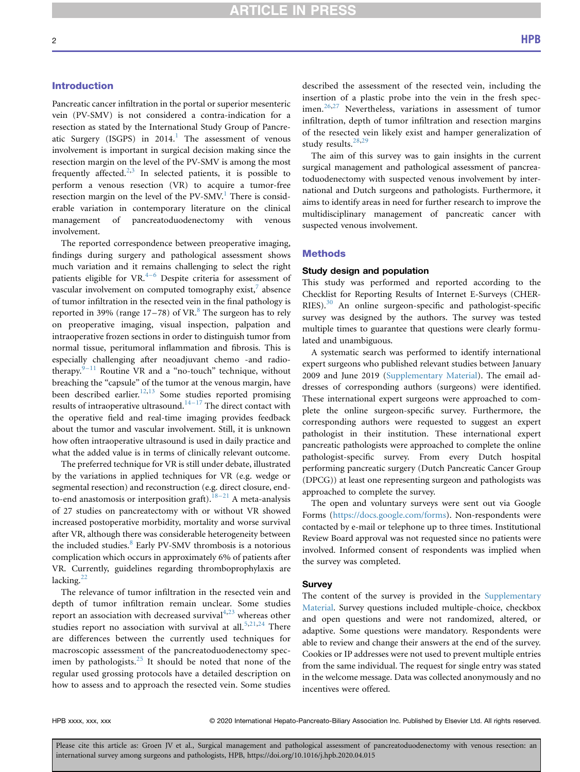## Introduction

Pancreatic cancer infiltration in the portal or superior mesenteric vein (PV-SMV) is not considered a contra-indication for a resection as stated by the International Study Group of Pancreatic Surgery (ISGPS) in  $2014$  $2014$  $2014$ .<sup>1</sup> The assessment of venous involvement is important in surgical decision making since the resection margin on the level of the PV-SMV is among the most frequently affected.<sup>[2](#page-8-1),[3](#page-8-2)</sup> In selected patients, it is possible to perform a venous resection (VR) to acquire a tumor-free resection margin on the level of the PV-SMV.<sup>[1](#page-8-0)</sup> There is considerable variation in contemporary literature on the clinical management of pancreatoduodenectomy with venous involvement.

The reported correspondence between preoperative imaging, findings during surgery and pathological assessment shows much variation and it remains challenging to select the right patients eligible for  $VR^{4-6}$  Despite criteria for assessment of vascular involvement on computed tomography exist, $\overline{7}$  absence of tumor infiltration in the resected vein in the final pathology is reported in 39% (range  $17-78$  $17-78$ ) of VR.<sup>8</sup> The surgeon has to rely on preoperative imaging, visual inspection, palpation and intraoperative frozen sections in order to distinguish tumor from normal tissue, peritumoral inflammation and fibrosis. This is especially challenging after neoadjuvant chemo -and radiotherapy. $9-11$  $9-11$  Routine VR and a "no-touch" technique, without breaching the "capsule" of the tumor at the venous margin, have been described earlier.<sup>[12,](#page-8-7)[13](#page-8-8)</sup> Some studies reported promising results of intraoperative ultrasound.<sup>14–17</sup> The direct contact with the operative field and real-time imaging provides feedback about the tumor and vascular involvement. Still, it is unknown how often intraoperative ultrasound is used in daily practice and what the added value is in terms of clinically relevant outcome.

The preferred technique for VR is still under debate, illustrated by the variations in applied techniques for VR (e.g. wedge or segmental resection) and reconstruction (e.g. direct closure, endto-end anastomosis or interposition graft).<sup>18–21</sup> A meta-analysis of 27 studies on pancreatectomy with or without VR showed increased postoperative morbidity, mortality and worse survival after VR, although there was considerable heterogeneity between the included studies.<sup>[8](#page-8-5)</sup> Early PV-SMV thrombosis is a notorious complication which occurs in approximately 6% of patients after VR. Currently, guidelines regarding thromboprophylaxis are lacking. $^{22}$  $^{22}$  $^{22}$ 

The relevance of tumor infiltration in the resected vein and depth of tumor infiltration remain unclear. Some studies report an association with decreased survival $4,23$  $4,23$  whereas other studies report no association with survival at all.<sup>[5](#page-8-13)[,21](#page-8-14),[24](#page-8-15)</sup> There are differences between the currently used techniques for macroscopic assessment of the pancreatoduodenectomy specimen by pathologists. $25$  It should be noted that none of the regular used grossing protocols have a detailed description on how to assess and to approach the resected vein. Some studies

described the assessment of the resected vein, including the insertion of a plastic probe into the vein in the fresh spec-imen.<sup>[26,](#page-8-17)[27](#page-8-18)</sup> Nevertheless, variations in assessment of tumor infiltration, depth of tumor infiltration and resection margins of the resected vein likely exist and hamper generalization of study results.<sup>[28,](#page-8-19)[29](#page-9-0)</sup>

The aim of this survey was to gain insights in the current surgical management and pathological assessment of pancreatoduodenectomy with suspected venous involvement by international and Dutch surgeons and pathologists. Furthermore, it aims to identify areas in need for further research to improve the multidisciplinary management of pancreatic cancer with suspected venous involvement.

#### **Methods**

#### Study design and population

This study was performed and reported according to the Checklist for Reporting Results of Internet E-Surveys (CHER-RIES).<sup>[30](#page-9-1)</sup> An online surgeon-specific and pathologist-specific survey was designed by the authors. The survey was tested multiple times to guarantee that questions were clearly formulated and unambiguous.

A systematic search was performed to identify international expert surgeons who published relevant studies between January 2009 and June 2019 (Supplementary Material). The email addresses of corresponding authors (surgeons) were identified. These international expert surgeons were approached to complete the online surgeon-specific survey. Furthermore, the corresponding authors were requested to suggest an expert pathologist in their institution. These international expert pancreatic pathologists were approached to complete the online pathologist-specific survey. From every Dutch hospital performing pancreatic surgery (Dutch Pancreatic Cancer Group (DPCG)) at least one representing surgeon and pathologists was approached to complete the survey.

The open and voluntary surveys were sent out via Google Forms (<https://docs.google.com/forms>). Non-respondents were contacted by e-mail or telephone up to three times. Institutional Review Board approval was not requested since no patients were involved. Informed consent of respondents was implied when the survey was completed.

#### **Survey**

The content of the survey is provided in the Supplementary Material. Survey questions included multiple-choice, checkbox and open questions and were not randomized, altered, or adaptive. Some questions were mandatory. Respondents were able to review and change their answers at the end of the survey. Cookies or IP addresses were not used to prevent multiple entries from the same individual. The request for single entry was stated in the welcome message. Data was collected anonymously and no incentives were offered.

HPB xxxx, xxx, xxx 
reserved. 
© 2020 International Hepato-Pancreato-Biliary Association Inc. Published by Elsevier Ltd. All rights reserved.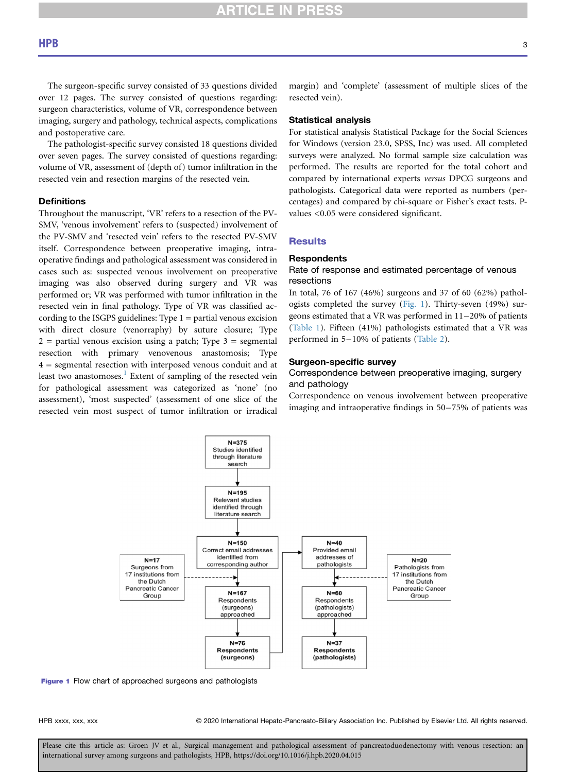The surgeon-specific survey consisted of 33 questions divided over 12 pages. The survey consisted of questions regarding: surgeon characteristics, volume of VR, correspondence between imaging, surgery and pathology, technical aspects, complications and postoperative care.

The pathologist-specific survey consisted 18 questions divided over seven pages. The survey consisted of questions regarding: volume of VR, assessment of (depth of) tumor infiltration in the resected vein and resection margins of the resected vein.

# **Definitions**

Throughout the manuscript, 'VR' refers to a resection of the PV-SMV, 'venous involvement' refers to (suspected) involvement of the PV-SMV and 'resected vein' refers to the resected PV-SMV itself. Correspondence between preoperative imaging, intraoperative findings and pathological assessment was considered in cases such as: suspected venous involvement on preoperative imaging was also observed during surgery and VR was performed or; VR was performed with tumor infiltration in the resected vein in final pathology. Type of VR was classified according to the ISGPS guidelines: Type  $1 =$  partial venous excision with direct closure (venorraphy) by suture closure; Type  $2$  = partial venous excision using a patch; Type  $3$  = segmental resection with primary venovenous anastomosis; Type 4 = segmental resection with interposed venous conduit and at least two anastomoses.<sup>[1](#page-8-0)</sup> Extent of sampling of the resected vein for pathological assessment was categorized as 'none' (no assessment), 'most suspected' (assessment of one slice of the resected vein most suspect of tumor infiltration or irradical margin) and 'complete' (assessment of multiple slices of the resected vein).

# Statistical analysis

For statistical analysis Statistical Package for the Social Sciences for Windows (version 23.0, SPSS, Inc) was used. All completed surveys were analyzed. No formal sample size calculation was performed. The results are reported for the total cohort and compared by international experts versus DPCG surgeons and pathologists. Categorical data were reported as numbers (percentages) and compared by chi-square or Fisher's exact tests. Pvalues <0.05 were considered significant.

## **Results**

#### **Respondents**

## Rate of response and estimated percentage of venous resections

In total, 76 of 167 (46%) surgeons and 37 of 60 (62%) pathologists completed the survey ([Fig. 1](#page-2-0)). Thirty-seven (49%) surgeons estimated that a VR was performed in 11–20% of patients [\(Table 1\)](#page-3-0). Fifteen (41%) pathologists estimated that a VR was performed in 5–10% of patients [\(Table 2](#page-4-0)).

#### Surgeon-specific survey

# Correspondence between preoperative imaging, surgery and pathology

Correspondence on venous involvement between preoperative imaging and intraoperative findings in 50–75% of patients was

<span id="page-2-0"></span>

Figure 1 Flow chart of approached surgeons and pathologists

HPB xxxx, xxx, xxx 
reserved. © 2020 International Hepato-Pancreato-Biliary Association Inc. Published by Elsevier Ltd. All rights reserved.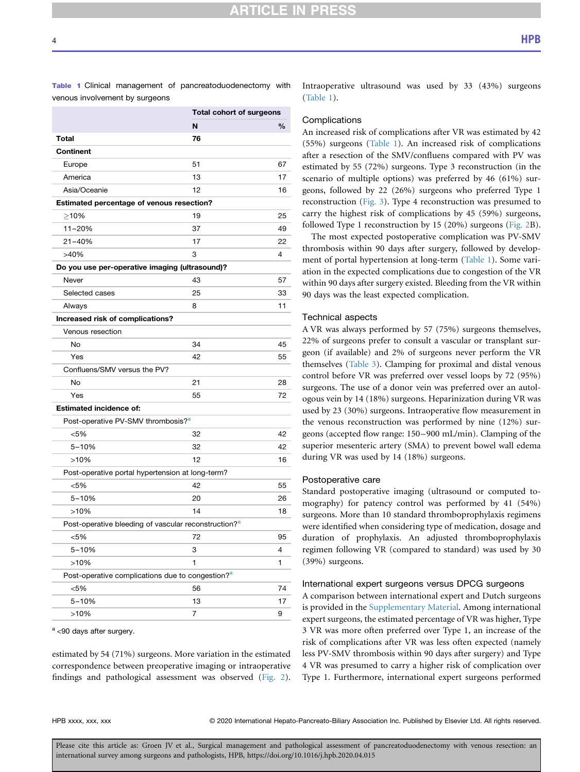# **CLE IN PRE**

| venous involvement by surgeons                                   |                          |      |
|------------------------------------------------------------------|--------------------------|------|
|                                                                  | Total cohort of surgeons |      |
|                                                                  | N                        | $\%$ |
| <b>Total</b>                                                     | 76                       |      |
| <b>Continent</b>                                                 |                          |      |
| Europe                                                           | 51                       | 67   |
| America                                                          | 13                       | 17   |
| Asia/Oceanie                                                     | 12                       | 16   |
| Estimated percentage of venous resection?                        |                          |      |
| >10%                                                             | 19                       | 25   |
| $11 - 20%$                                                       | 37                       | 49   |
| $21 - 40%$                                                       | 17                       | 22   |
| >40%                                                             | 3                        | 4    |
| Do you use per-operative imaging (ultrasound)?                   |                          |      |
| Never                                                            | 43                       | 57   |
| Selected cases                                                   | 25                       | 33   |
| Always                                                           | 8                        | 11   |
| Increased risk of complications?                                 |                          |      |
| Venous resection                                                 |                          |      |
| No                                                               | 34                       | 45   |
| Yes                                                              | 42                       | 55   |
| Confluens/SMV versus the PV?                                     |                          |      |
| No                                                               | 21                       | 28   |
| Yes                                                              | 55                       | 72   |
| <b>Estimated incidence of:</b>                                   |                          |      |
| Post-operative PV-SMV thrombosis? <sup>a</sup>                   |                          |      |
| < 5%                                                             | 32                       | 42   |
| $5 - 10%$                                                        | 32                       | 42   |
| >10%                                                             | 12                       | 16   |
| Post-operative portal hypertension at long-term?                 |                          |      |
| < 5%                                                             | 42                       | 55   |
| $5 - 10%$                                                        | 20                       | 26   |
| >10%                                                             | 14                       | 18   |
| Post-operative bleeding of vascular reconstruction? <sup>a</sup> |                          |      |
| <5%                                                              | 72                       | 95   |
| $5 - 10%$                                                        | 3                        | 4    |
| >10%                                                             | 1                        | 1    |
| Post-operative complications due to congestion? <sup>a</sup>     |                          |      |
| <5%                                                              | 56                       | 74   |
| $5 - 10%$                                                        | 13                       | 17   |
| >10%                                                             | 7                        | 9    |

<span id="page-3-0"></span>Table 1 Clinical management of pancreatoduodenectomy with

<span id="page-3-1"></span> $a$  <90 days after surgery.

estimated by 54 (71%) surgeons. More variation in the estimated correspondence between preoperative imaging or intraoperative findings and pathological assessment was observed ([Fig. 2\)](#page-5-0).

Intraoperative ultrasound was used by 33 (43%) surgeons ([Table 1\)](#page-3-0).

#### **Complications**

An increased risk of complications after VR was estimated by 42 (55%) surgeons ([Table 1\)](#page-3-0). An increased risk of complications after a resection of the SMV/confluens compared with PV was estimated by 55 (72%) surgeons. Type 3 reconstruction (in the scenario of multiple options) was preferred by 46 (61%) surgeons, followed by 22 (26%) surgeons who preferred Type 1 reconstruction ([Fig. 3](#page-5-1)). Type 4 reconstruction was presumed to carry the highest risk of complications by 45 (59%) surgeons, followed Type 1 reconstruction by 15 (20%) surgeons ([Fig. 2](#page-5-0)B).

The most expected postoperative complication was PV-SMV thrombosis within 90 days after surgery, followed by development of portal hypertension at long-term ([Table 1\)](#page-3-0). Some variation in the expected complications due to congestion of the VR within 90 days after surgery existed. Bleeding from the VR within 90 days was the least expected complication.

#### Technical aspects

A VR was always performed by 57 (75%) surgeons themselves, 22% of surgeons prefer to consult a vascular or transplant surgeon (if available) and 2% of surgeons never perform the VR themselves [\(Table 3](#page-6-0)). Clamping for proximal and distal venous control before VR was preferred over vessel loops by 72 (95%) surgeons. The use of a donor vein was preferred over an autologous vein by 14 (18%) surgeons. Heparinization during VR was used by 23 (30%) surgeons. Intraoperative flow measurement in the venous reconstruction was performed by nine (12%) surgeons (accepted flow range: 150–900 mL/min). Clamping of the superior mesenteric artery (SMA) to prevent bowel wall edema during VR was used by 14 (18%) surgeons.

#### Postoperative care

Standard postoperative imaging (ultrasound or computed tomography) for patency control was performed by 41 (54%) surgeons. More than 10 standard thromboprophylaxis regimens were identified when considering type of medication, dosage and duration of prophylaxis. An adjusted thromboprophylaxis regimen following VR (compared to standard) was used by 30 (39%) surgeons.

### International expert surgeons versus DPCG surgeons

A comparison between international expert and Dutch surgeons is provided in the Supplementary Material. Among international expert surgeons, the estimated percentage of VR was higher, Type 3 VR was more often preferred over Type 1, an increase of the risk of complications after VR was less often expected (namely less PV-SMV thrombosis within 90 days after surgery) and Type 4 VR was presumed to carry a higher risk of complication over Type 1. Furthermore, international expert surgeons performed

HPB xxxx, xxx, xxx entitled that C 2020 International Hepato-Pancreato-Biliary Association Inc. Published by Elsevier Ltd. All rights reserved.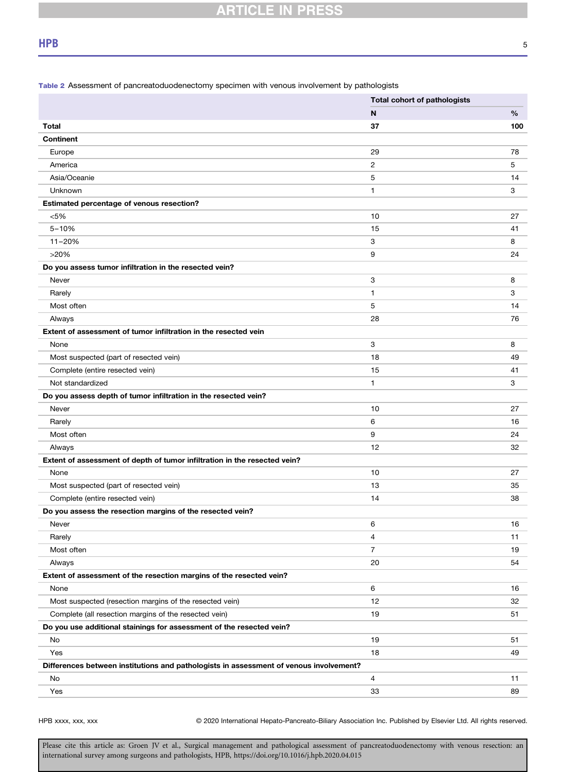<span id="page-4-0"></span>Table 2 Assessment of pancreatoduodenectomy specimen with venous involvement by pathologists

|                                                                                        | <b>Total cohort of pathologists</b> |     |
|----------------------------------------------------------------------------------------|-------------------------------------|-----|
|                                                                                        | N                                   | %   |
| <b>Total</b>                                                                           | 37                                  | 100 |
| <b>Continent</b>                                                                       |                                     |     |
| Europe                                                                                 | 29                                  | 78  |
| America                                                                                | 2                                   | 5   |
| Asia/Oceanie                                                                           | 5                                   | 14  |
| Unknown                                                                                | 1                                   | 3   |
| Estimated percentage of venous resection?                                              |                                     |     |
| < 5%                                                                                   | 10                                  | 27  |
| $5 - 10%$                                                                              | 15                                  | 41  |
| $11 - 20%$                                                                             | 3                                   | 8   |
| >20%                                                                                   | 9                                   | 24  |
| Do you assess tumor infiltration in the resected vein?                                 |                                     |     |
| Never                                                                                  | 3                                   | 8   |
| Rarely                                                                                 | 1                                   | 3   |
| Most often                                                                             | 5                                   | 14  |
| Always                                                                                 | 28                                  | 76  |
| Extent of assessment of tumor infiltration in the resected vein                        |                                     |     |
| None                                                                                   | 3                                   | 8   |
| Most suspected (part of resected vein)                                                 | 18                                  | 49  |
| Complete (entire resected vein)                                                        | 15                                  | 41  |
| Not standardized                                                                       | $\mathbf{1}$                        | 3   |
| Do you assess depth of tumor infiltration in the resected vein?                        |                                     |     |
| Never                                                                                  | 10                                  | 27  |
| Rarely                                                                                 | 6                                   | 16  |
| Most often                                                                             | 9                                   | 24  |
| Always                                                                                 | 12                                  | 32  |
| Extent of assessment of depth of tumor infiltration in the resected vein?              |                                     |     |
| None                                                                                   | 10                                  | 27  |
| Most suspected (part of resected vein)                                                 | 13                                  | 35  |
| Complete (entire resected vein)                                                        | 14                                  | 38  |
| Do you assess the resection margins of the resected vein?                              |                                     |     |
| Never                                                                                  | 6                                   | 16  |
| Rarely                                                                                 | 4                                   | 11  |
| Most often                                                                             | 7                                   | 19  |
| Always                                                                                 | 20                                  | 54  |
| Extent of assessment of the resection margins of the resected vein?                    |                                     |     |
| None                                                                                   | 6                                   | 16  |
| Most suspected (resection margins of the resected vein)                                | 12                                  | 32  |
| Complete (all resection margins of the resected vein)                                  | 19                                  | 51  |
| Do you use additional stainings for assessment of the resected vein?                   |                                     |     |
| No                                                                                     | 19                                  | 51  |
| Yes                                                                                    | 18                                  | 49  |
| Differences between institutions and pathologists in assessment of venous involvement? |                                     |     |
| No                                                                                     | 4                                   | 11  |
| Yes                                                                                    | 33                                  | 89  |

HPB xxxx, xxx, xxx 
<sup>©</sup> 2020 International Hepato-Pancreato-Biliary Association Inc. Published by Elsevier Ltd. All rights reserved.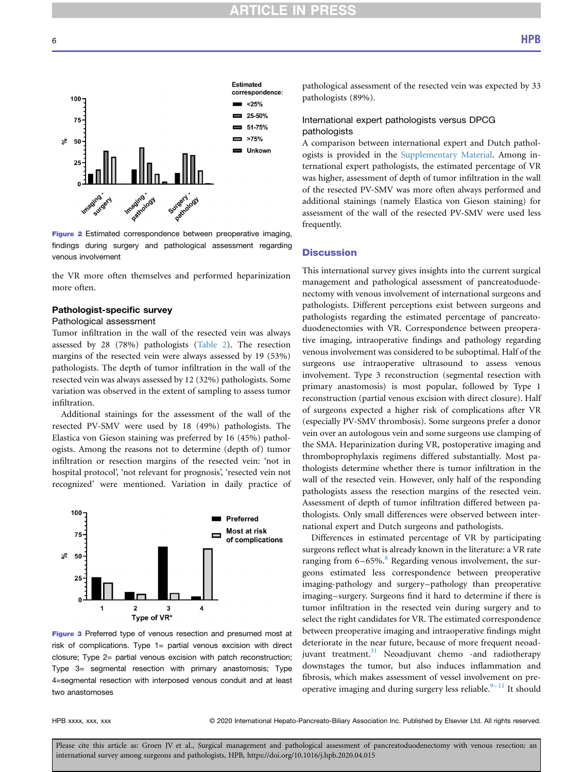<span id="page-5-0"></span>

Figure 2 Estimated correspondence between preoperative imaging, findings during surgery and pathological assessment regarding venous involvement

the VR more often themselves and performed heparinization more often.

# Pathologist-specific survey

## Pathological assessment

Tumor infiltration in the wall of the resected vein was always assessed by 28 (78%) pathologists ([Table 2\)](#page-4-0). The resection margins of the resected vein were always assessed by 19 (53%) pathologists. The depth of tumor infiltration in the wall of the resected vein was always assessed by 12 (32%) pathologists. Some variation was observed in the extent of sampling to assess tumor infiltration.

Additional stainings for the assessment of the wall of the resected PV-SMV were used by 18 (49%) pathologists. The Elastica von Gieson staining was preferred by 16 (45%) pathologists. Among the reasons not to determine (depth of) tumor infiltration or resection margins of the resected vein: 'not in hospital protocol', 'not relevant for prognosis', 'resected vein not recognized' were mentioned. Variation in daily practice of

<span id="page-5-1"></span>

Figure 3 Preferred type of venous resection and presumed most at risk of complications. Type 1= partial venous excision with direct closure; Type 2= partial venous excision with patch reconstruction; Type 3= segmental resection with primary anastomosis; Type 4=segmental resection with interposed venous conduit and at least two anastomoses

pathological assessment of the resected vein was expected by 33 pathologists (89%).

# International expert pathologists versus DPCG pathologists

A comparison between international expert and Dutch pathologists is provided in the Supplementary Material. Among international expert pathologists, the estimated percentage of VR was higher, assessment of depth of tumor infiltration in the wall of the resected PV-SMV was more often always performed and additional stainings (namely Elastica von Gieson staining) for assessment of the wall of the resected PV-SMV were used less frequently.

# **Discussion**

This international survey gives insights into the current surgical management and pathological assessment of pancreatoduodenectomy with venous involvement of international surgeons and pathologists. Different perceptions exist between surgeons and pathologists regarding the estimated percentage of pancreatoduodenectomies with VR. Correspondence between preoperative imaging, intraoperative findings and pathology regarding venous involvement was considered to be suboptimal. Half of the surgeons use intraoperative ultrasound to assess venous involvement. Type 3 reconstruction (segmental resection with primary anastomosis) is most popular, followed by Type 1 reconstruction (partial venous excision with direct closure). Half of surgeons expected a higher risk of complications after VR (especially PV-SMV thrombosis). Some surgeons prefer a donor vein over an autologous vein and some surgeons use clamping of the SMA. Heparinization during VR, postoperative imaging and thromboprophylaxis regimens differed substantially. Most pathologists determine whether there is tumor infiltration in the wall of the resected vein. However, only half of the responding pathologists assess the resection margins of the resected vein. Assessment of depth of tumor infiltration differed between pathologists. Only small differences were observed between international expert and Dutch surgeons and pathologists.

Differences in estimated percentage of VR by participating surgeons reflect what is already known in the literature: a VR rate ranging from  $6-65\%$ .<sup>[8](#page-8-5)</sup> Regarding venous involvement, the surgeons estimated less correspondence between preoperative imaging-pathology and surgery–pathology than preoperative imaging–surgery. Surgeons find it hard to determine if there is tumor infiltration in the resected vein during surgery and to select the right candidates for VR. The estimated correspondence between preoperative imaging and intraoperative findings might deteriorate in the near future, because of more frequent neoad-juvant treatment.<sup>[31](#page-9-2)</sup> Neoadjuvant chemo -and radiotherapy downstages the tumor, but also induces inflammation and fibrosis, which makes assessment of vessel involvement on preoperative imaging and during surgery less reliable. $9-11$  $9-11$  It should

HPB xxxx, xxx, xxx 
reserved. © 2020 International Hepato-Pancreato-Biliary Association Inc. Published by Elsevier Ltd. All rights reserved.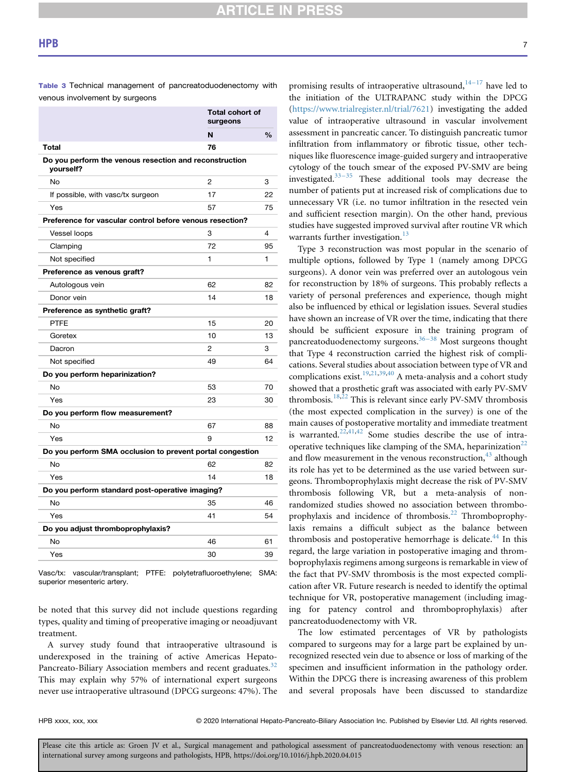**RTICLE IN PRES** 

venous involvement by surgeons

|                                                                     | <b>Total cohort of</b><br>surgeons |               |
|---------------------------------------------------------------------|------------------------------------|---------------|
|                                                                     | N                                  | $\frac{0}{0}$ |
| <b>Total</b>                                                        | 76                                 |               |
| Do you perform the venous resection and reconstruction<br>vourself? |                                    |               |
| <b>No</b>                                                           | $\overline{2}$                     | 3             |
| If possible, with vasc/tx surgeon                                   | 17                                 | 22            |
| Yes                                                                 | 57                                 | 75            |
| Preference for vascular control before venous resection?            |                                    |               |
| <b>Vessel loops</b>                                                 | 3                                  | 4             |
| Clamping                                                            | 72                                 | 95            |
| Not specified                                                       | 1                                  | 1             |
| Preference as venous graft?                                         |                                    |               |
| Autologous vein                                                     | 62                                 | 82            |
| Donor vein                                                          | 14                                 | 18            |
| Preference as synthetic graft?                                      |                                    |               |
| <b>PTFE</b>                                                         | 15                                 | 20            |
| Goretex                                                             | 10                                 | 13            |
| Dacron                                                              | 2                                  | 3             |
| Not specified                                                       | 49                                 | 64            |
| Do you perform heparinization?                                      |                                    |               |
| No                                                                  | 53                                 | 70            |
| Yes                                                                 | 23                                 | 30            |
| Do you perform flow measurement?                                    |                                    |               |
| <b>No</b>                                                           | 67                                 | 88            |
| Yes                                                                 | 9                                  | 12            |
| Do you perform SMA occlusion to prevent portal congestion           |                                    |               |
| <b>No</b>                                                           | 62                                 | 82            |
| Yes                                                                 | 14                                 | 18            |
| Do you perform standard post-operative imaging?                     |                                    |               |
| <b>No</b>                                                           | 35                                 | 46            |
| Yes                                                                 | 41                                 | 54            |
| Do you adjust thromboprophylaxis?                                   |                                    |               |
| <b>No</b>                                                           | 46                                 | 61            |
| Yes                                                                 | 30                                 | 39            |
|                                                                     |                                    |               |

<span id="page-6-0"></span>Table 3 Technical management of pancreatoduodenectomy with

Vasc/tx: vascular/transplant; PTFE: polytetrafluoroethylene; SMA: superior mesenteric artery.

be noted that this survey did not include questions regarding types, quality and timing of preoperative imaging or neoadjuvant treatment.

A survey study found that intraoperative ultrasound is underexposed in the training of active Americas Hepato-Pancreato-Biliary Association members and recent graduates.<sup>[32](#page-9-3)</sup> This may explain why 57% of international expert surgeons never use intraoperative ultrasound (DPCG surgeons: 47%). The promising results of intraoperative ultrasound, $14-17$  $14-17$  have led to the initiation of the ULTRAPANC study within the DPCG [\(https://www.trialregister.nl/trial/7621\)](https://www.trialregister.nl/trial/7621) investigating the added value of intraoperative ultrasound in vascular involvement assessment in pancreatic cancer. To distinguish pancreatic tumor infiltration from inflammatory or fibrotic tissue, other techniques like fluorescence image-guided surgery and intraoperative cytology of the touch smear of the exposed PV-SMV are being investigated. $33-35$  $33-35$  These additional tools may decrease the number of patients put at increased risk of complications due to unnecessary VR (i.e. no tumor infiltration in the resected vein and sufficient resection margin). On the other hand, previous studies have suggested improved survival after routine VR which warrants further investigation. $13$ 

Type 3 reconstruction was most popular in the scenario of multiple options, followed by Type 1 (namely among DPCG surgeons). A donor vein was preferred over an autologous vein for reconstruction by 18% of surgeons. This probably reflects a variety of personal preferences and experience, though might also be influenced by ethical or legislation issues. Several studies have shown an increase of VR over the time, indicating that there should be sufficient exposure in the training program of pancreatoduodenectomy surgeons.<sup>[36](#page-9-5)–38</sup> Most surgeons thought that Type 4 reconstruction carried the highest risk of complications. Several studies about association between type of VR and complications exist.<sup>[19](#page-8-20),[21](#page-8-14)[,39](#page-9-6),[40](#page-9-7)</sup> A meta-analysis and a cohort study showed that a prosthetic graft was associated with early PV-SMV thrombosis.<sup>[18](#page-8-10),[22](#page-8-11)</sup> This is relevant since early PV-SMV thrombosis (the most expected complication in the survey) is one of the main causes of postoperative mortality and immediate treatment is warranted.<sup>[22](#page-8-11)[,41](#page-9-8)[,42](#page-9-9)</sup> Some studies describe the use of intra-operative techniques like clamping of the SMA, heparinization<sup>[22](#page-8-11)</sup> and flow measurement in the venous reconstruction,  $43$  although its role has yet to be determined as the use varied between surgeons. Thromboprophylaxis might decrease the risk of PV-SMV thrombosis following VR, but a meta-analysis of nonrandomized studies showed no association between thrombo-prophylaxis and incidence of thrombosis.<sup>[22](#page-8-11)</sup> Thromboprophylaxis remains a difficult subject as the balance between thrombosis and postoperative hemorrhage is delicate.<sup>[44](#page-9-11)</sup> In this regard, the large variation in postoperative imaging and thromboprophylaxis regimens among surgeons is remarkable in view of the fact that PV-SMV thrombosis is the most expected complication after VR. Future research is needed to identify the optimal technique for VR, postoperative management (including imaging for patency control and thromboprophylaxis) after pancreatoduodenectomy with VR.

The low estimated percentages of VR by pathologists compared to surgeons may for a large part be explained by unrecognized resected vein due to absence or loss of marking of the specimen and insufficient information in the pathology order. Within the DPCG there is increasing awareness of this problem and several proposals have been discussed to standardize

HPB xxxx, xxx, xxx 
reserved. 
© 2020 International Hepato-Pancreato-Biliary Association Inc. Published by Elsevier Ltd. All rights reserved.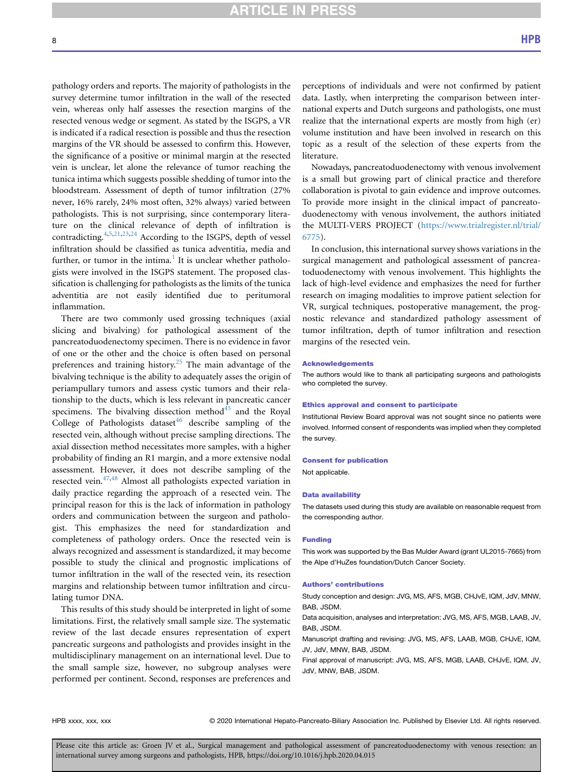# **ARTICLE IN PRESS**

pathology orders and reports. The majority of pathologists in the survey determine tumor infiltration in the wall of the resected vein, whereas only half assesses the resection margins of the resected venous wedge or segment. As stated by the ISGPS, a VR is indicated if a radical resection is possible and thus the resection margins of the VR should be assessed to confirm this. However, the significance of a positive or minimal margin at the resected vein is unclear, let alone the relevance of tumor reaching the tunica intima which suggests possible shedding of tumor into the bloodstream. Assessment of depth of tumor infiltration (27% never, 16% rarely, 24% most often, 32% always) varied between pathologists. This is not surprising, since contemporary literature on the clinical relevance of depth of infiltration is contradicting. $4,5,21,23,24$  $4,5,21,23,24$  $4,5,21,23,24$  $4,5,21,23,24$  $4,5,21,23,24$  $4,5,21,23,24$  $4,5,21,23,24$  According to the ISGPS, depth of vessel infiltration should be classified as tunica adventitia, media and further, or tumor in the intima.<sup>[1](#page-8-0)</sup> It is unclear whether pathologists were involved in the ISGPS statement. The proposed classification is challenging for pathologists as the limits of the tunica adventitia are not easily identified due to peritumoral inflammation.

There are two commonly used grossing techniques (axial slicing and bivalving) for pathological assessment of the pancreatoduodenectomy specimen. There is no evidence in favor of one or the other and the choice is often based on personal preferences and training history.<sup>[25](#page-8-16)</sup> The main advantage of the bivalving technique is the ability to adequately asses the origin of periampullary tumors and assess cystic tumors and their relationship to the ducts, which is less relevant in pancreatic cancer specimens. The bivalving dissection method $45$  and the Royal College of Pathologists dataset $46$  describe sampling of the resected vein, although without precise sampling directions. The axial dissection method necessitates more samples, with a higher probability of finding an R1 margin, and a more extensive nodal assessment. However, it does not describe sampling of the resected vein. $47,48$  $47,48$  Almost all pathologists expected variation in daily practice regarding the approach of a resected vein. The principal reason for this is the lack of information in pathology orders and communication between the surgeon and pathologist. This emphasizes the need for standardization and completeness of pathology orders. Once the resected vein is always recognized and assessment is standardized, it may become possible to study the clinical and prognostic implications of tumor infiltration in the wall of the resected vein, its resection margins and relationship between tumor infiltration and circulating tumor DNA.

This results of this study should be interpreted in light of some limitations. First, the relatively small sample size. The systematic review of the last decade ensures representation of expert pancreatic surgeons and pathologists and provides insight in the multidisciplinary management on an international level. Due to the small sample size, however, no subgroup analyses were performed per continent. Second, responses are preferences and

perceptions of individuals and were not confirmed by patient data. Lastly, when interpreting the comparison between international experts and Dutch surgeons and pathologists, one must realize that the international experts are mostly from high (er) volume institution and have been involved in research on this topic as a result of the selection of these experts from the literature.

Nowadays, pancreatoduodenectomy with venous involvement is a small but growing part of clinical practice and therefore collaboration is pivotal to gain evidence and improve outcomes. To provide more insight in the clinical impact of pancreatoduodenectomy with venous involvement, the authors initiated the MULTI-VERS PROJECT [\(https://www.trialregister.nl/trial/](https://www.trialregister.nl/trial/6775) [6775\)](https://www.trialregister.nl/trial/6775).

In conclusion, this international survey shows variations in the surgical management and pathological assessment of pancreatoduodenectomy with venous involvement. This highlights the lack of high-level evidence and emphasizes the need for further research on imaging modalities to improve patient selection for VR, surgical techniques, postoperative management, the prognostic relevance and standardized pathology assessment of tumor infiltration, depth of tumor infiltration and resection margins of the resected vein.

#### Acknowledgements

The authors would like to thank all participating surgeons and pathologists who completed the survey.

#### Ethics approval and consent to participate

Institutional Review Board approval was not sought since no patients were involved. Informed consent of respondents was implied when they completed the survey.

#### Consent for publication

Not applicable.

#### Data availability

The datasets used during this study are available on reasonable request from the corresponding author.

#### Funding

This work was supported by the Bas Mulder Award (grant UL2015-7665) from the Alpe d'HuZes foundation/Dutch Cancer Society.

#### Authors' contributions

Study conception and design: JVG, MS, AFS, MGB, CHJvE, IQM, JdV, MNW, BAB, JSDM.

Data acquisition, analyses and interpretation: JVG, MS, AFS, MGB, LAAB, JV, BAB, JSDM.

Manuscript drafting and revising: JVG, MS, AFS, LAAB, MGB, CHJvE, IQM, JV, JdV, MNW, BAB, JSDM.

Final approval of manuscript: JVG, MS, AFS, MGB, LAAB, CHJvE, IQM, JV, JdV, MNW, BAB, JSDM.

HPB xxxx, xxx, xxx 
reserved. © 2020 International Hepato-Pancreato-Biliary Association Inc. Published by Elsevier Ltd. All rights reserved.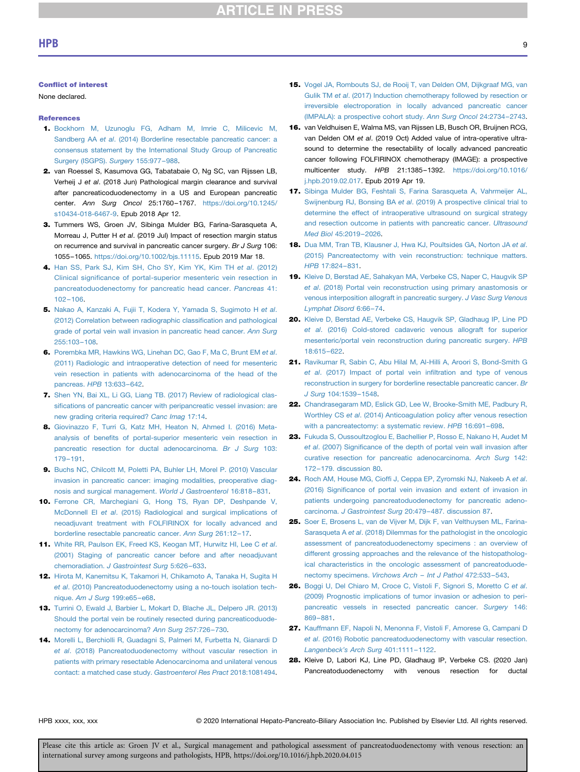## Conflict of interest

None declared.

# **References**

- <span id="page-8-0"></span>1. [Bockhorn M, Uzunoglu FG, Adham M, Imrie C, Milicevic M,](http://refhub.elsevier.com/S1365-182X(20)30142-8/sref1) Sandberg AA et al[. \(2014\) Borderline resectable pancreatic cancer: a](http://refhub.elsevier.com/S1365-182X(20)30142-8/sref1) [consensus statement by the International Study Group of Pancreatic](http://refhub.elsevier.com/S1365-182X(20)30142-8/sref1) [Surgery \(ISGPS\).](http://refhub.elsevier.com/S1365-182X(20)30142-8/sref1) Surgery 155:977–988.
- <span id="page-8-1"></span>2. van Roessel S, Kasumova GG, Tabatabaie O, Ng SC, van Rijssen LB, Verheij J et al. (2018 Jun) Pathological margin clearance and survival after pancreaticoduodenectomy in a US and European pancreatic center. Ann Surg Oncol 25:1760–1767. [https://doi.org/10.1245/](https://doi.org/10.1245/s10434-018-6467-9) [s10434-018-6467-9.](https://doi.org/10.1245/s10434-018-6467-9) Epub 2018 Apr 12.
- <span id="page-8-2"></span>3. Tummers WS, Groen JV, Sibinga Mulder BG, Farina-Sarasqueta A, Morreau J, Putter H et al. (2019 Jul) Impact of resection margin status on recurrence and survival in pancreatic cancer surgery. Br J Surg 106: 1055–1065. [https://doi.org/10.1002/bjs.11115.](https://doi.org/10.1002/bjs.11115) Epub 2019 Mar 18.
- <span id="page-8-3"></span>4. [Han SS, Park SJ, Kim SH, Cho SY, Kim YK, Kim TH](http://refhub.elsevier.com/S1365-182X(20)30142-8/sref4) et al. (2012) Clinical signifi[cance of portal-superior mesenteric vein resection in](http://refhub.elsevier.com/S1365-182X(20)30142-8/sref4) [pancreatoduodenectomy for pancreatic head cancer.](http://refhub.elsevier.com/S1365-182X(20)30142-8/sref4) Pancreas 41: 102–[106.](http://refhub.elsevier.com/S1365-182X(20)30142-8/sref4)
- <span id="page-8-13"></span>5. [Nakao A, Kanzaki A, Fujii T, Kodera Y, Yamada S, Sugimoto H](http://refhub.elsevier.com/S1365-182X(20)30142-8/sref5) et al. [\(2012\) Correlation between radiographic classi](http://refhub.elsevier.com/S1365-182X(20)30142-8/sref5)fication and pathological [grade of portal vein wall invasion in pancreatic head cancer.](http://refhub.elsevier.com/S1365-182X(20)30142-8/sref5) Ann Surg [255:103](http://refhub.elsevier.com/S1365-182X(20)30142-8/sref5)–108.
- 6. [Porembka MR, Hawkins WG, Linehan DC, Gao F, Ma C, Brunt EM](http://refhub.elsevier.com/S1365-182X(20)30142-8/sref6) et al. [\(2011\) Radiologic and intraoperative detection of need for mesenteric](http://refhub.elsevier.com/S1365-182X(20)30142-8/sref6) [vein resection in patients with adenocarcinoma of the head of the](http://refhub.elsevier.com/S1365-182X(20)30142-8/sref6) [pancreas.](http://refhub.elsevier.com/S1365-182X(20)30142-8/sref6) HPB 13:633–642.
- <span id="page-8-4"></span>7. [Shen YN, Bai XL, Li GG, Liang TB. \(2017\) Review of radiological clas](http://refhub.elsevier.com/S1365-182X(20)30142-8/sref7)sifi[cations of pancreatic cancer with peripancreatic vessel invasion: are](http://refhub.elsevier.com/S1365-182X(20)30142-8/sref7) [new grading criteria required?](http://refhub.elsevier.com/S1365-182X(20)30142-8/sref7) Canc Imag 17:14.
- <span id="page-8-5"></span>8. [Giovinazzo F, Turri G, Katz MH, Heaton N, Ahmed I. \(2016\) Meta](http://refhub.elsevier.com/S1365-182X(20)30142-8/sref8)analysis of benefi[ts of portal-superior mesenteric vein resection in](http://refhub.elsevier.com/S1365-182X(20)30142-8/sref8) [pancreatic resection for ductal adenocarcinoma.](http://refhub.elsevier.com/S1365-182X(20)30142-8/sref8) Br J Surg 103: 179–[191.](http://refhub.elsevier.com/S1365-182X(20)30142-8/sref8)
- <span id="page-8-6"></span>9. [Buchs NC, Chilcott M, Poletti PA, Buhler LH, Morel P. \(2010\) Vascular](http://refhub.elsevier.com/S1365-182X(20)30142-8/sref9) [invasion in pancreatic cancer: imaging modalities, preoperative diag](http://refhub.elsevier.com/S1365-182X(20)30142-8/sref9)[nosis and surgical management.](http://refhub.elsevier.com/S1365-182X(20)30142-8/sref9) World J Gastroenterol 16:818–831.
- 10. [Ferrone CR, Marchegiani G, Hong TS, Ryan DP, Deshpande V,](http://refhub.elsevier.com/S1365-182X(20)30142-8/sref10) McDonnell EI et al[. \(2015\) Radiological and surgical implications of](http://refhub.elsevier.com/S1365-182X(20)30142-8/sref10) [neoadjuvant treatment with FOLFIRINOX for locally advanced and](http://refhub.elsevier.com/S1365-182X(20)30142-8/sref10) [borderline resectable pancreatic cancer.](http://refhub.elsevier.com/S1365-182X(20)30142-8/sref10) Ann Surg 261:12–17.
- 11. [White RR, Paulson EK, Freed KS, Keogan MT, Hurwitz HI, Lee C](http://refhub.elsevier.com/S1365-182X(20)30142-8/sref11) et al. [\(2001\) Staging of pancreatic cancer before and after neoadjuvant](http://refhub.elsevier.com/S1365-182X(20)30142-8/sref11) chemoradiation. [J Gastrointest Surg](http://refhub.elsevier.com/S1365-182X(20)30142-8/sref11) 5:626–633.
- <span id="page-8-7"></span>12. [Hirota M, Kanemitsu K, Takamori H, Chikamoto A, Tanaka H, Sugita H](http://refhub.elsevier.com/S1365-182X(20)30142-8/sref12) et al[. \(2010\) Pancreatoduodenectomy using a no-touch isolation tech](http://refhub.elsevier.com/S1365-182X(20)30142-8/sref12)nique. [Am J Surg](http://refhub.elsevier.com/S1365-182X(20)30142-8/sref12) 199:e65–e68.
- <span id="page-8-8"></span>13. [Turrini O, Ewald J, Barbier L, Mokart D, Blache JL, Delpero JR. \(2013\)](http://refhub.elsevier.com/S1365-182X(20)30142-8/sref13) [Should the portal vein be routinely resected during pancreaticoduode](http://refhub.elsevier.com/S1365-182X(20)30142-8/sref13)[nectomy for adenocarcinoma?](http://refhub.elsevier.com/S1365-182X(20)30142-8/sref13) Ann Surg 257:726–730.
- <span id="page-8-9"></span>14. [Morelli L, Berchiolli R, Guadagni S, Palmeri M, Furbetta N, Gianardi D](http://refhub.elsevier.com/S1365-182X(20)30142-8/sref14) et al[. \(2018\) Pancreatoduodenectomy without vascular resection in](http://refhub.elsevier.com/S1365-182X(20)30142-8/sref14) [patients with primary resectable Adenocarcinoma and unilateral venous](http://refhub.elsevier.com/S1365-182X(20)30142-8/sref14) [contact: a matched case study.](http://refhub.elsevier.com/S1365-182X(20)30142-8/sref14) Gastroenterol Res Pract 2018:1081494.
- 15. [Vogel JA, Rombouts SJ, de Rooij T, van Delden OM, Dijkgraaf MG, van](http://refhub.elsevier.com/S1365-182X(20)30142-8/sref15) Gulik TM et al[. \(2017\) Induction chemotherapy followed by resection or](http://refhub.elsevier.com/S1365-182X(20)30142-8/sref15) [irreversible electroporation in locally advanced pancreatic cancer](http://refhub.elsevier.com/S1365-182X(20)30142-8/sref15) [\(IMPALA\): a prospective cohort study.](http://refhub.elsevier.com/S1365-182X(20)30142-8/sref15) Ann Surg Oncol 24:2734–2743.
- 16. van Veldhuisen E, Walma MS, van Rijssen LB, Busch OR, Bruijnen RCG, van Delden OM et al. (2019 Oct) Added value of intra-operative ultrasound to determine the resectability of locally advanced pancreatic cancer following FOLFIRINOX chemotherapy (IMAGE): a prospective multicenter study. HPB 21:1385–1392. [https://doi.org/10.1016/](https://doi.org/10.1016/j.hpb.2019.02.017) [j.hpb.2019.02.017.](https://doi.org/10.1016/j.hpb.2019.02.017) Epub 2019 Apr 19.
- 17. [Sibinga Mulder BG, Feshtali S, Farina Sarasqueta A, Vahrmeijer AL,](http://refhub.elsevier.com/S1365-182X(20)30142-8/sref17) Swijnenburg RJ, Bonsing BA et al[. \(2019\) A prospective clinical trial to](http://refhub.elsevier.com/S1365-182X(20)30142-8/sref17) [determine the effect of intraoperative ultrasound on surgical strategy](http://refhub.elsevier.com/S1365-182X(20)30142-8/sref17) [and resection outcome in patients with pancreatic cancer.](http://refhub.elsevier.com/S1365-182X(20)30142-8/sref17) Ultrasound [Med Biol](http://refhub.elsevier.com/S1365-182X(20)30142-8/sref17) 45:2019–2026.
- <span id="page-8-10"></span>18. [Dua MM, Tran TB, Klausner J, Hwa KJ, Poultsides GA, Norton JA](http://refhub.elsevier.com/S1365-182X(20)30142-8/sref18) et al. [\(2015\) Pancreatectomy with vein reconstruction: technique matters.](http://refhub.elsevier.com/S1365-182X(20)30142-8/sref18) HPB [17:824](http://refhub.elsevier.com/S1365-182X(20)30142-8/sref18)–831.
- <span id="page-8-20"></span>19. [Kleive D, Berstad AE, Sahakyan MA, Verbeke CS, Naper C, Haugvik SP](http://refhub.elsevier.com/S1365-182X(20)30142-8/sref19) et al[. \(2018\) Portal vein reconstruction using primary anastomosis or](http://refhub.elsevier.com/S1365-182X(20)30142-8/sref19) [venous interposition allograft in pancreatic surgery.](http://refhub.elsevier.com/S1365-182X(20)30142-8/sref19) J Vasc Surg Venous [Lymphat Disord](http://refhub.elsevier.com/S1365-182X(20)30142-8/sref19) 6:66–74.
- 20. [Kleive D, Berstad AE, Verbeke CS, Haugvik SP, Gladhaug IP, Line PD](http://refhub.elsevier.com/S1365-182X(20)30142-8/sref20) et al[. \(2016\) Cold-stored cadaveric venous allograft for superior](http://refhub.elsevier.com/S1365-182X(20)30142-8/sref20) [mesenteric/portal vein reconstruction during pancreatic surgery.](http://refhub.elsevier.com/S1365-182X(20)30142-8/sref20) HPB [18:615](http://refhub.elsevier.com/S1365-182X(20)30142-8/sref20)–622.
- <span id="page-8-14"></span>21. [Ravikumar R, Sabin C, Abu Hilal M, Al-Hilli A, Aroori S, Bond-Smith G](http://refhub.elsevier.com/S1365-182X(20)30142-8/sref21) et al[. \(2017\) Impact of portal vein in](http://refhub.elsevier.com/S1365-182X(20)30142-8/sref21)filtration and type of venous [reconstruction in surgery for borderline resectable pancreatic cancer.](http://refhub.elsevier.com/S1365-182X(20)30142-8/sref21) Br J Surg [104:1539](http://refhub.elsevier.com/S1365-182X(20)30142-8/sref21)–1548.
- <span id="page-8-11"></span>22. [Chandrasegaram MD, Eslick GD, Lee W, Brooke-Smith ME, Padbury R,](http://refhub.elsevier.com/S1365-182X(20)30142-8/sref22) Worthley CS et al[. \(2014\) Anticoagulation policy after venous resection](http://refhub.elsevier.com/S1365-182X(20)30142-8/sref22) [with a pancreatectomy: a systematic review.](http://refhub.elsevier.com/S1365-182X(20)30142-8/sref22) HPB 16:691–698.
- <span id="page-8-12"></span>23. [Fukuda S, Oussoultzoglou E, Bachellier P, Rosso E, Nakano H, Audet M](http://refhub.elsevier.com/S1365-182X(20)30142-8/sref23) et al. (2007) Signifi[cance of the depth of portal vein wall invasion after](http://refhub.elsevier.com/S1365-182X(20)30142-8/sref23) [curative resection for pancreatic adenocarcinoma.](http://refhub.elsevier.com/S1365-182X(20)30142-8/sref23) Arch Surg 142: 172–[179. discussion 80.](http://refhub.elsevier.com/S1365-182X(20)30142-8/sref23)
- <span id="page-8-15"></span>24. Roch AM, House MG, Cioffi [J, Ceppa EP, Zyromski NJ, Nakeeb A](http://refhub.elsevier.com/S1365-182X(20)30142-8/sref24) et al. (2016) Signifi[cance of portal vein invasion and extent of invasion in](http://refhub.elsevier.com/S1365-182X(20)30142-8/sref24) [patients undergoing pancreatoduodenectomy for pancreatic adeno](http://refhub.elsevier.com/S1365-182X(20)30142-8/sref24)carcinoma. [J Gastrointest Surg](http://refhub.elsevier.com/S1365-182X(20)30142-8/sref24) 20:479–487. discussion 87.
- <span id="page-8-16"></span>25. [Soer E, Brosens L, van de Vijver M, Dijk F, van Velthuysen ML, Farina-](http://refhub.elsevier.com/S1365-182X(20)30142-8/sref25)Sarasqueta A et al[. \(2018\) Dilemmas for the pathologist in the oncologic](http://refhub.elsevier.com/S1365-182X(20)30142-8/sref25) [assessment of pancreatoduodenectomy specimens : an overview of](http://refhub.elsevier.com/S1365-182X(20)30142-8/sref25) [different grossing approaches and the relevance of the histopatholog](http://refhub.elsevier.com/S1365-182X(20)30142-8/sref25)[ical characteristics in the oncologic assessment of pancreatoduode](http://refhub.elsevier.com/S1365-182X(20)30142-8/sref25)[nectomy specimens.](http://refhub.elsevier.com/S1365-182X(20)30142-8/sref25) Virchows Arch – Int J Pathol 472:533–543.
- <span id="page-8-17"></span>26. [Boggi U, Del Chiaro M, Croce C, Vistoli F, Signori S, Moretto C](http://refhub.elsevier.com/S1365-182X(20)30142-8/sref26) et al. [\(2009\) Prognostic implications of tumor invasion or adhesion to peri](http://refhub.elsevier.com/S1365-182X(20)30142-8/sref26)[pancreatic vessels in resected pancreatic cancer.](http://refhub.elsevier.com/S1365-182X(20)30142-8/sref26) Surgery 146: 869–[881.](http://refhub.elsevier.com/S1365-182X(20)30142-8/sref26)
- <span id="page-8-18"></span>27. [Kauffmann EF, Napoli N, Menonna F, Vistoli F, Amorese G, Campani D](http://refhub.elsevier.com/S1365-182X(20)30142-8/sref27) et al[. \(2016\) Robotic pancreatoduodenectomy with vascular resection.](http://refhub.elsevier.com/S1365-182X(20)30142-8/sref27) [Langenbeck](http://refhub.elsevier.com/S1365-182X(20)30142-8/sref27)'s Arch Surg 401:1111–1122.
- <span id="page-8-19"></span>28. Kleive D, Labori KJ, Line PD, Gladhaug IP, Verbeke CS. (2020 Jan) Pancreatoduodenectomy with venous resection for ductal

HPB xxxx, xxx, xxx 
reserved. 
© 2020 International Hepato-Pancreato-Biliary Association Inc. Published by Elsevier Ltd. All rights reserved.